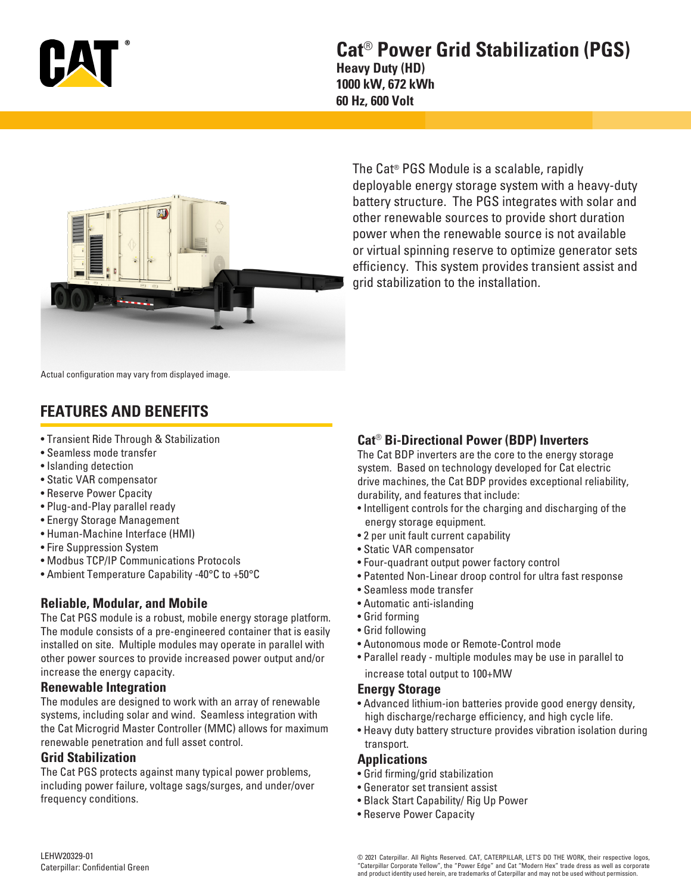

## **Cat**® **Power Grid Stabilization (PGS) Heavy Duty (HD) 1000 kW, 672 kWh 60 Hz, 600 Volt**



The Cat® PGS Module is a scalable, rapidly deployable energy storage system with a heavy-duty battery structure. The PGS integrates with solar and other renewable sources to provide short duration power when the renewable source is not available or virtual spinning reserve to optimize generator sets efficiency. This system provides transient assist and grid stabilization to the installation.

Actual configuration may vary from displayed image.

# **FEATURES AND BENEFITS**

- Transient Ride Through & Stabilization
- Seamless mode transfer
- Islanding detection
- Static VAR compensator
- Reserve Power Cpacity
- Plug-and-Play parallel ready
- Energy Storage Management
- Human-Machine Interface (HMI)
- Fire Suppression System
- Modbus TCP/IP Communications Protocols
- Ambient Temperature Capability -40°C to +50°C

### **Reliable, Modular, and Mobile**

The Cat PGS module is a robust, mobile energy storage platform. The module consists of a pre-engineered container that is easily installed on site. Multiple modules may operate in parallel with other power sources to provide increased power output and/or increase the energy capacity.

#### **Renewable Integration**

The modules are designed to work with an array of renewable systems, including solar and wind. Seamless integration with the Cat Microgrid Master Controller (MMC) allows for maximum renewable penetration and full asset control.

#### **Grid Stabilization**

The Cat PGS protects against many typical power problems, including power failure, voltage sags/surges, and under/over frequency conditions.

### **Cat**® **Bi-Directional Power (BDP) Inverters**

The Cat BDP inverters are the core to the energy storage system. Based on technology developed for Cat electric drive machines, the Cat BDP provides exceptional reliability, durability, and features that include:

- Intelligent controls for the charging and discharging of the energy storage equipment.
- 2 per unit fault current capability
- Static VAR compensator
- Four-quadrant output power factory control
- Patented Non-Linear droop control for ultra fast response
- Seamless mode transfer
- Automatic anti-islanding
- Grid forming
- Grid following
- Autonomous mode or Remote-Control mode
- Parallel ready multiple modules may be use in parallel to increase total output to 100+MW

#### **Energy Storage**

- Advanced lithium-ion batteries provide good energy density, high discharge/recharge efficiency, and high cycle life.
- Heavy duty battery structure provides vibration isolation during transport.

#### **Applications**

- Grid firming/grid stabilization
- Generator set transient assist
- Black Start Capability/ Rig Up Power
- Reserve Power Capacity